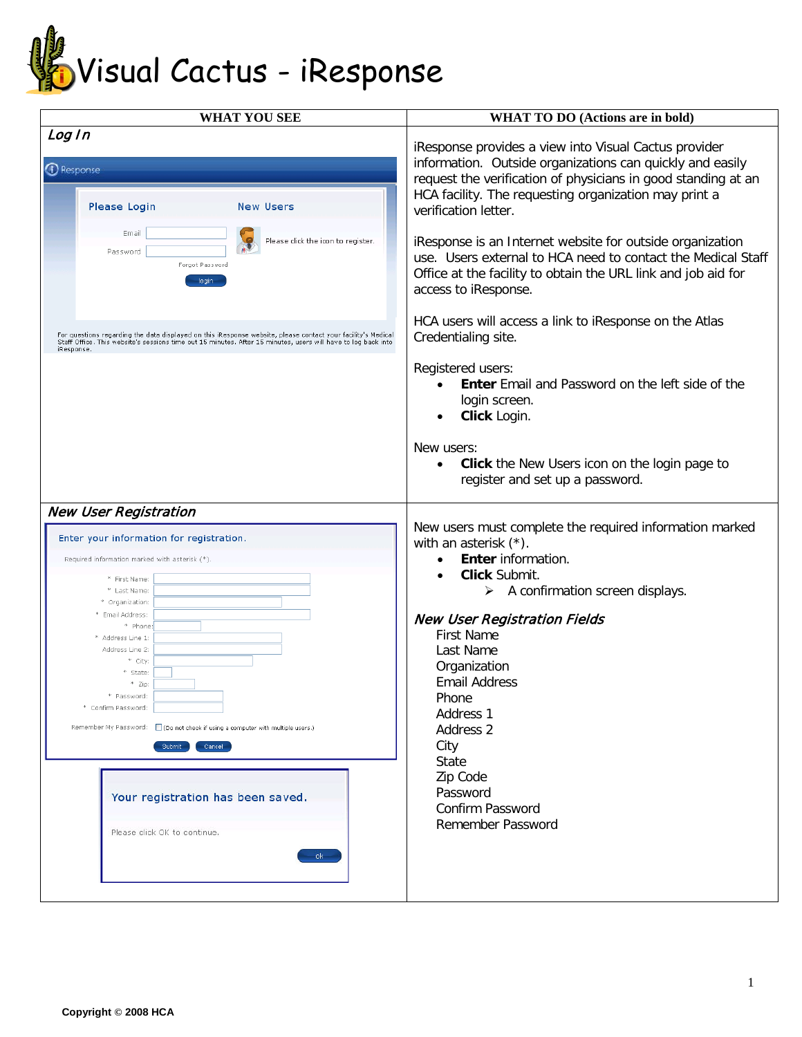

| <b>WHAT YOU SEE</b>                                                                                                                                                                                                                                                                                                                                                                                                                                                                                       | WHAT TO DO (Actions are in bold)                                                                                                                                                                                                                                                                                                                                                                                                                 |
|-----------------------------------------------------------------------------------------------------------------------------------------------------------------------------------------------------------------------------------------------------------------------------------------------------------------------------------------------------------------------------------------------------------------------------------------------------------------------------------------------------------|--------------------------------------------------------------------------------------------------------------------------------------------------------------------------------------------------------------------------------------------------------------------------------------------------------------------------------------------------------------------------------------------------------------------------------------------------|
| Log In<br>D Response<br>Please Login<br><b>New Users</b>                                                                                                                                                                                                                                                                                                                                                                                                                                                  | iResponse provides a view into Visual Cactus provider<br>information. Outside organizations can quickly and easily<br>request the verification of physicians in good standing at an<br>HCA facility. The requesting organization may print a<br>verification letter.                                                                                                                                                                             |
| Email<br>Please click the icon to register.<br>Password<br>Forgot Password<br>login                                                                                                                                                                                                                                                                                                                                                                                                                       | iResponse is an Internet website for outside organization<br>use. Users external to HCA need to contact the Medical Staff<br>Office at the facility to obtain the URL link and job aid for<br>access to iResponse.                                                                                                                                                                                                                               |
| For questions regarding the data displayed on this iResponse website, please contact your facility's Medical<br>Staff Office. This website's sessions time out 15 minutes. After 15 minutes, users will have to log back into<br>iResponse                                                                                                                                                                                                                                                                | HCA users will access a link to iResponse on the Atlas<br>Credentialing site.                                                                                                                                                                                                                                                                                                                                                                    |
|                                                                                                                                                                                                                                                                                                                                                                                                                                                                                                           | Registered users:<br><b>Enter</b> Email and Password on the left side of the<br>login screen.<br>Click Login.                                                                                                                                                                                                                                                                                                                                    |
|                                                                                                                                                                                                                                                                                                                                                                                                                                                                                                           | New users:<br>Click the New Users icon on the login page to<br>$\bullet$<br>register and set up a password.                                                                                                                                                                                                                                                                                                                                      |
| <b>New User Registration</b><br>Enter your information for registration.<br>Required information marked with asterisk (*).<br>* First Name:<br>* Last Name:<br>* Organization:<br>Email Address:<br>* Phone<br>* Address Line 1:<br>Address Line 2:<br>* City:<br>* State:<br>* Zip:<br>* Password:<br>* Confirm Password:<br>Remember My Password: Co not check if using a computer with multiple users.)<br>Submit<br>Cancel<br>Your registration has been saved.<br>Please click OK to continue.<br>ok | New users must complete the required information marked<br>with an asterisk $(*)$ .<br><b>Enter</b> information.<br>$\bullet$<br>Click Submit.<br>$\bullet$<br>A confirmation screen displays.<br>➤<br><b>New User Registration Fields</b><br><b>First Name</b><br>Last Name<br>Organization<br><b>Email Address</b><br>Phone<br>Address 1<br>Address 2<br>City<br><b>State</b><br>Zip Code<br>Password<br>Confirm Password<br>Remember Password |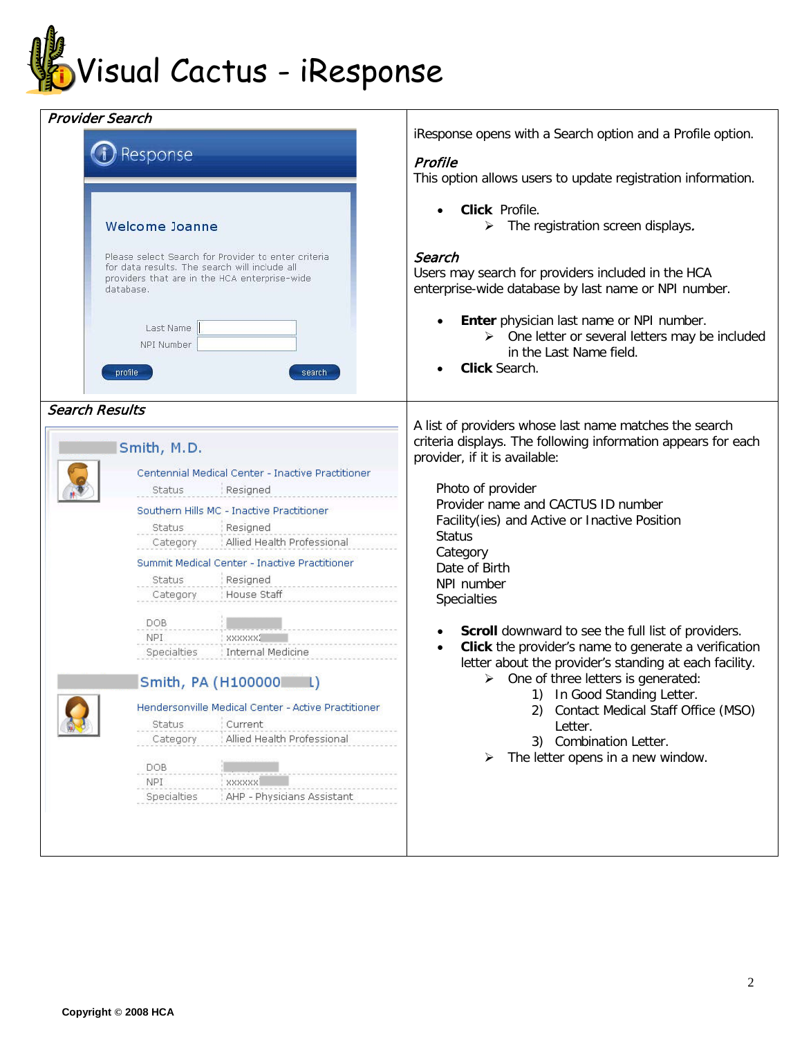

| iResponse opens with a Search option and a Profile option.<br>Profile<br>This option allows users to update registration information.<br>Click Profile.<br>$\triangleright$ The registration screen displays.<br>Search<br>Users may search for providers included in the HCA<br>enterprise-wide database by last name or NPI number.<br>Enter physician last name or NPI number.<br>$\triangleright$ One letter or several letters may be included<br>in the Last Name field.                                                                                                                                                                                                                                                                         |
|--------------------------------------------------------------------------------------------------------------------------------------------------------------------------------------------------------------------------------------------------------------------------------------------------------------------------------------------------------------------------------------------------------------------------------------------------------------------------------------------------------------------------------------------------------------------------------------------------------------------------------------------------------------------------------------------------------------------------------------------------------|
| Click Search.                                                                                                                                                                                                                                                                                                                                                                                                                                                                                                                                                                                                                                                                                                                                          |
| A list of providers whose last name matches the search<br>criteria displays. The following information appears for each<br>provider, if it is available:<br>Photo of provider<br>Provider name and CACTUS ID number<br>Facility(ies) and Active or Inactive Position<br><b>Status</b><br>Category<br>Date of Birth<br>NPI number<br><b>Specialties</b><br>Scroll downward to see the full list of providers.<br>Click the provider's name to generate a verification<br>letter about the provider's standing at each facility.<br>$\triangleright$ One of three letters is generated:<br>In Good Standing Letter.<br>Contact Medical Staff Office (MSO)<br>2)<br>Letter.<br><b>Combination Letter.</b><br>3)<br>The letter opens in a new window.<br>➤ |
|                                                                                                                                                                                                                                                                                                                                                                                                                                                                                                                                                                                                                                                                                                                                                        |